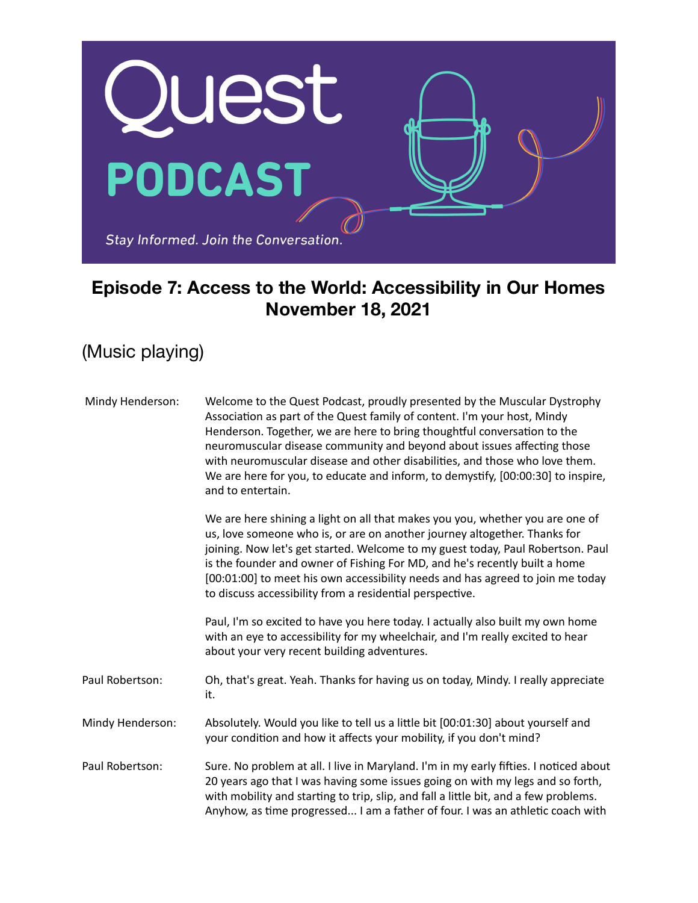

## **Episode 7: Access to the World: Accessibility in Our Homes November 18, 2021**

(Music playing)

| Mindy Henderson: | Welcome to the Quest Podcast, proudly presented by the Muscular Dystrophy<br>Association as part of the Quest family of content. I'm your host, Mindy<br>Henderson. Together, we are here to bring thoughtful conversation to the<br>neuromuscular disease community and beyond about issues affecting those<br>with neuromuscular disease and other disabilities, and those who love them.<br>We are here for you, to educate and inform, to demystify, [00:00:30] to inspire,<br>and to entertain. |
|------------------|------------------------------------------------------------------------------------------------------------------------------------------------------------------------------------------------------------------------------------------------------------------------------------------------------------------------------------------------------------------------------------------------------------------------------------------------------------------------------------------------------|
|                  | We are here shining a light on all that makes you you, whether you are one of<br>us, love someone who is, or are on another journey altogether. Thanks for<br>joining. Now let's get started. Welcome to my guest today, Paul Robertson. Paul<br>is the founder and owner of Fishing For MD, and he's recently built a home<br>[00:01:00] to meet his own accessibility needs and has agreed to join me today<br>to discuss accessibility from a residential perspective.                            |
|                  | Paul, I'm so excited to have you here today. I actually also built my own home<br>with an eye to accessibility for my wheelchair, and I'm really excited to hear<br>about your very recent building adventures.                                                                                                                                                                                                                                                                                      |
| Paul Robertson:  | Oh, that's great. Yeah. Thanks for having us on today, Mindy. I really appreciate<br>it.                                                                                                                                                                                                                                                                                                                                                                                                             |
| Mindy Henderson: | Absolutely. Would you like to tell us a little bit [00:01:30] about yourself and<br>your condition and how it affects your mobility, if you don't mind?                                                                                                                                                                                                                                                                                                                                              |
| Paul Robertson:  | Sure. No problem at all. I live in Maryland. I'm in my early fifties. I noticed about<br>20 years ago that I was having some issues going on with my legs and so forth,<br>with mobility and starting to trip, slip, and fall a little bit, and a few problems.<br>Anyhow, as time progressed I am a father of four. I was an athletic coach with                                                                                                                                                    |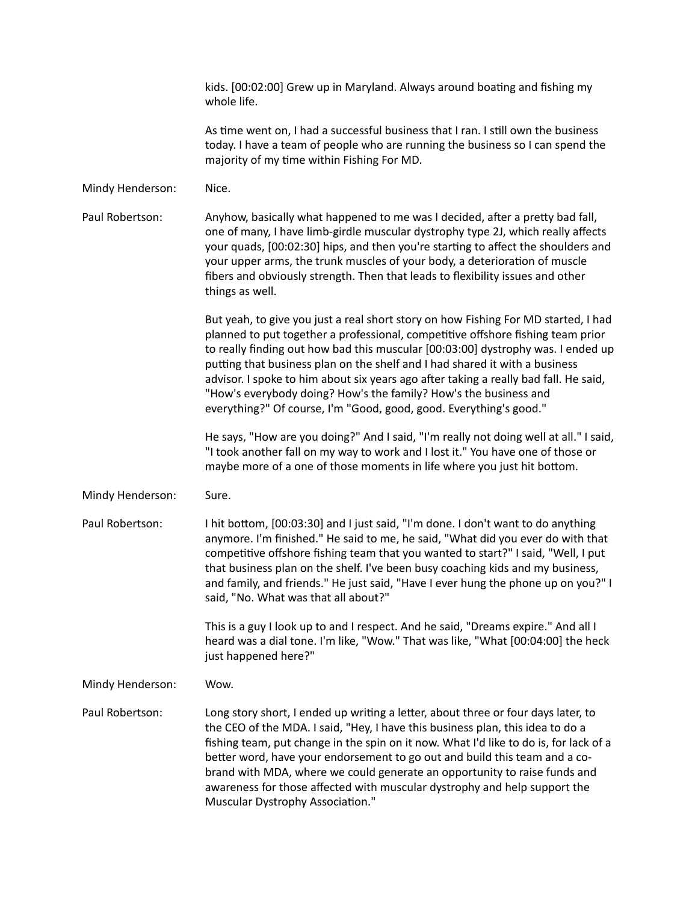|                  | kids. [00:02:00] Grew up in Maryland. Always around boating and fishing my<br>whole life.                                                                                                                                                                                                                                                                                                                                                                                                                                                                                  |
|------------------|----------------------------------------------------------------------------------------------------------------------------------------------------------------------------------------------------------------------------------------------------------------------------------------------------------------------------------------------------------------------------------------------------------------------------------------------------------------------------------------------------------------------------------------------------------------------------|
|                  | As time went on, I had a successful business that I ran. I still own the business<br>today. I have a team of people who are running the business so I can spend the<br>majority of my time within Fishing For MD.                                                                                                                                                                                                                                                                                                                                                          |
| Mindy Henderson: | Nice.                                                                                                                                                                                                                                                                                                                                                                                                                                                                                                                                                                      |
| Paul Robertson:  | Anyhow, basically what happened to me was I decided, after a pretty bad fall,<br>one of many, I have limb-girdle muscular dystrophy type 2J, which really affects<br>your quads, [00:02:30] hips, and then you're starting to affect the shoulders and<br>your upper arms, the trunk muscles of your body, a deterioration of muscle<br>fibers and obviously strength. Then that leads to flexibility issues and other<br>things as well.                                                                                                                                  |
|                  | But yeah, to give you just a real short story on how Fishing For MD started, I had<br>planned to put together a professional, competitive offshore fishing team prior<br>to really finding out how bad this muscular [00:03:00] dystrophy was. I ended up<br>putting that business plan on the shelf and I had shared it with a business<br>advisor. I spoke to him about six years ago after taking a really bad fall. He said,<br>"How's everybody doing? How's the family? How's the business and<br>everything?" Of course, I'm "Good, good, good. Everything's good." |
|                  | He says, "How are you doing?" And I said, "I'm really not doing well at all." I said,<br>"I took another fall on my way to work and I lost it." You have one of those or<br>maybe more of a one of those moments in life where you just hit bottom.                                                                                                                                                                                                                                                                                                                        |
| Mindy Henderson: | Sure.                                                                                                                                                                                                                                                                                                                                                                                                                                                                                                                                                                      |
| Paul Robertson:  | I hit bottom, [00:03:30] and I just said, "I'm done. I don't want to do anything<br>anymore. I'm finished." He said to me, he said, "What did you ever do with that<br>competitive offshore fishing team that you wanted to start?" I said, "Well, I put<br>that business plan on the shelf. I've been busy coaching kids and my business,<br>and family, and friends." He just said, "Have I ever hung the phone up on you?" I<br>said, "No. What was that all about?"                                                                                                    |
|                  | This is a guy I look up to and I respect. And he said, "Dreams expire." And all I<br>heard was a dial tone. I'm like, "Wow." That was like, "What [00:04:00] the heck<br>just happened here?"                                                                                                                                                                                                                                                                                                                                                                              |
| Mindy Henderson: | Wow.                                                                                                                                                                                                                                                                                                                                                                                                                                                                                                                                                                       |
| Paul Robertson:  | Long story short, I ended up writing a letter, about three or four days later, to<br>the CEO of the MDA. I said, "Hey, I have this business plan, this idea to do a<br>fishing team, put change in the spin on it now. What I'd like to do is, for lack of a<br>better word, have your endorsement to go out and build this team and a co-<br>brand with MDA, where we could generate an opportunity to raise funds and<br>awareness for those affected with muscular dystrophy and help support the<br>Muscular Dystrophy Association."                                   |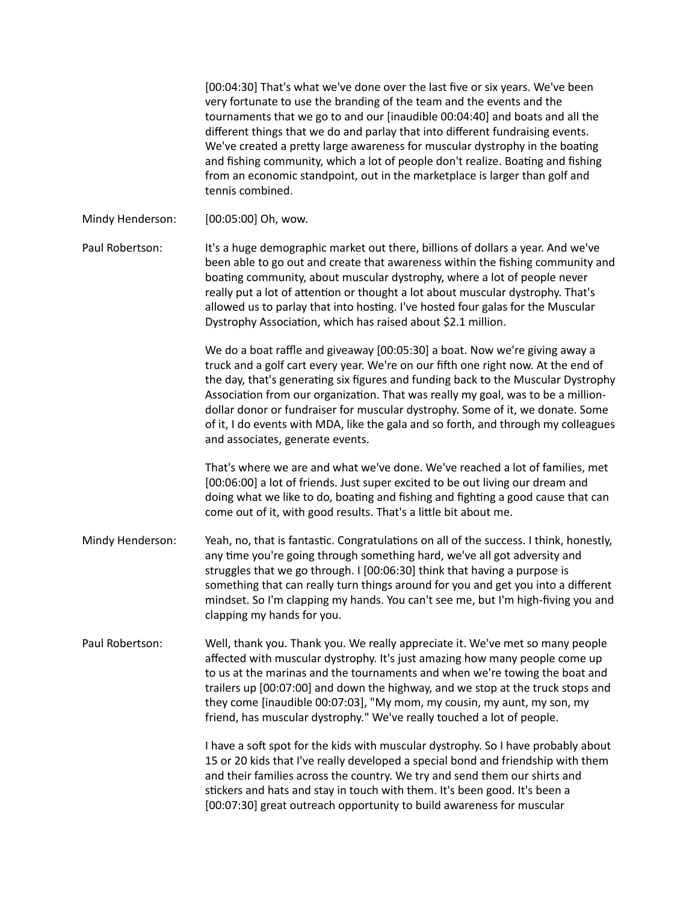[00:04:30] That's what we've done over the last five or six years. We've been very fortunate to use the branding of the team and the events and the tournaments that we go to and our [inaudible 00:04:40] and boats and all the different things that we do and parlay that into different fundraising events. We've created a pretty large awareness for muscular dystrophy in the boating and fishing community, which a lot of people don't realize. Boating and fishing from an economic standpoint, out in the marketplace is larger than golf and tennis combined.

Mindy Henderson: [00:05:00] Oh, wow.

Paul Robertson: It's a huge demographic market out there, billions of dollars a year. And we've been able to go out and create that awareness within the fishing community and boating community, about muscular dystrophy, where a lot of people never really put a lot of attention or thought a lot about muscular dystrophy. That's allowed us to parlay that into hosting. I've hosted four galas for the Muscular Dystrophy Association, which has raised about \$2.1 million.

> We do a boat raffle and giveaway [00:05:30] a boat. Now we're giving away a truck and a golf cart every year. We're on our fifth one right now. At the end of the day, that's generating six figures and funding back to the Muscular Dystrophy Association from our organization. That was really my goal, was to be a milliondollar donor or fundraiser for muscular dystrophy. Some of it, we donate. Some of it, I do events with MDA, like the gala and so forth, and through my colleagues and associates, generate events.

That's where we are and what we've done. We've reached a lot of families, met [00:06:00] a lot of friends. Just super excited to be out living our dream and doing what we like to do, boating and fishing and fighting a good cause that can come out of it, with good results. That's a little bit about me.

- Mindy Henderson: Yeah, no, that is fantastic. Congratulations on all of the success. I think, honestly, any time you're going through something hard, we've all got adversity and struggles that we go through. I [00:06:30] think that having a purpose is something that can really turn things around for you and get you into a different mindset. So I'm clapping my hands. You can't see me, but I'm high-fiving you and clapping my hands for you.
- Paul Robertson: Well, thank you. Thank you. We really appreciate it. We've met so many people affected with muscular dystrophy. It's just amazing how many people come up to us at the marinas and the tournaments and when we're towing the boat and trailers up [00:07:00] and down the highway, and we stop at the truck stops and they come [inaudible 00:07:03], "My mom, my cousin, my aunt, my son, my friend, has muscular dystrophy." We've really touched a lot of people.

I have a soft spot for the kids with muscular dystrophy. So I have probably about 15 or 20 kids that I've really developed a special bond and friendship with them and their families across the country. We try and send them our shirts and stickers and hats and stay in touch with them. It's been good. It's been a [00:07:30] great outreach opportunity to build awareness for muscular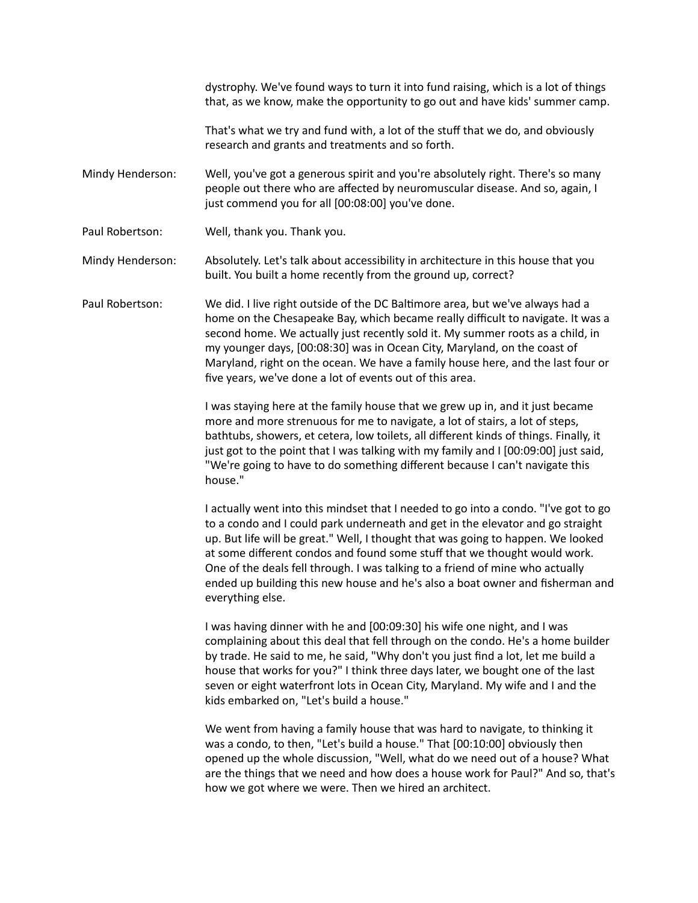dystrophy. We've found ways to turn it into fund raising, which is a lot of things that, as we know, make the opportunity to go out and have kids' summer camp.

That's what we try and fund with, a lot of the stuff that we do, and obviously research and grants and treatments and so forth.

Mindy Henderson: Well, you've got a generous spirit and you're absolutely right. There's so many people out there who are affected by neuromuscular disease. And so, again, I just commend you for all [00:08:00] you've done.

Paul Robertson: Well, thank you. Thank you.

Mindy Henderson: Absolutely. Let's talk about accessibility in architecture in this house that you built. You built a home recently from the ground up, correct?

Paul Robertson: We did. I live right outside of the DC Baltimore area, but we've always had a home on the Chesapeake Bay, which became really difficult to navigate. It was a second home. We actually just recently sold it. My summer roots as a child, in my younger days, [00:08:30] was in Ocean City, Maryland, on the coast of Maryland, right on the ocean. We have a family house here, and the last four or five years, we've done a lot of events out of this area.

> I was staying here at the family house that we grew up in, and it just became more and more strenuous for me to navigate, a lot of stairs, a lot of steps, bathtubs, showers, et cetera, low toilets, all different kinds of things. Finally, it just got to the point that I was talking with my family and I [00:09:00] just said, "We're going to have to do something different because I can't navigate this house."

I actually went into this mindset that I needed to go into a condo. "I've got to go to a condo and I could park underneath and get in the elevator and go straight up. But life will be great." Well, I thought that was going to happen. We looked at some different condos and found some stuff that we thought would work. One of the deals fell through. I was talking to a friend of mine who actually ended up building this new house and he's also a boat owner and fisherman and everything else.

I was having dinner with he and [00:09:30] his wife one night, and I was complaining about this deal that fell through on the condo. He's a home builder by trade. He said to me, he said, "Why don't you just find a lot, let me build a house that works for you?" I think three days later, we bought one of the last seven or eight waterfront lots in Ocean City, Maryland. My wife and I and the kids embarked on, "Let's build a house."

We went from having a family house that was hard to navigate, to thinking it was a condo, to then, "Let's build a house." That [00:10:00] obviously then opened up the whole discussion, "Well, what do we need out of a house? What are the things that we need and how does a house work for Paul?" And so, that's how we got where we were. Then we hired an architect.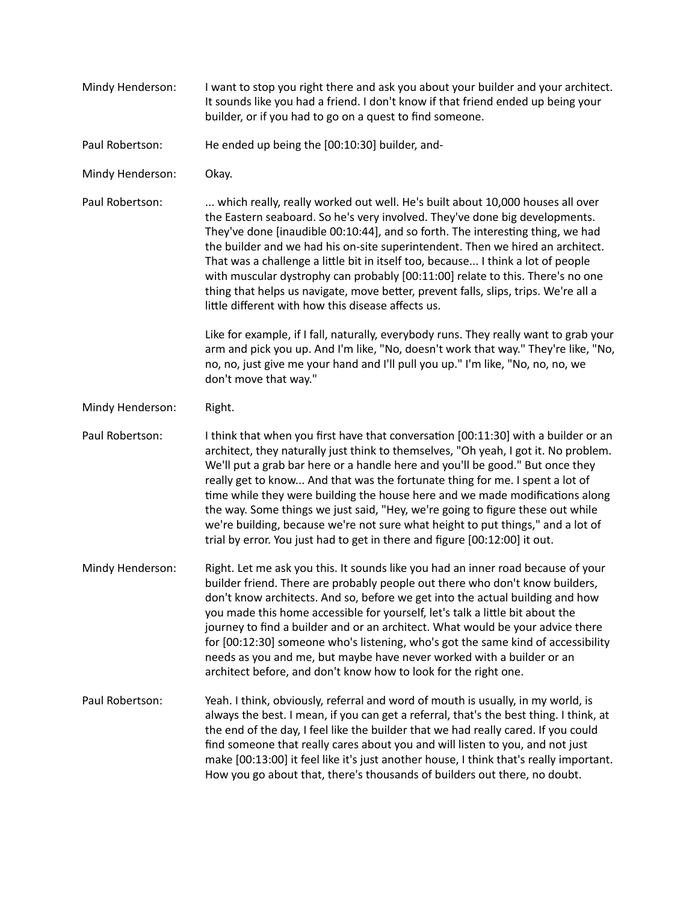| Mindy Henderson: | I want to stop you right there and ask you about your builder and your architect.<br>It sounds like you had a friend. I don't know if that friend ended up being your<br>builder, or if you had to go on a quest to find someone.                                                                                                                                                                                                                                                                                                                                                                                                                                             |
|------------------|-------------------------------------------------------------------------------------------------------------------------------------------------------------------------------------------------------------------------------------------------------------------------------------------------------------------------------------------------------------------------------------------------------------------------------------------------------------------------------------------------------------------------------------------------------------------------------------------------------------------------------------------------------------------------------|
| Paul Robertson:  | He ended up being the [00:10:30] builder, and-                                                                                                                                                                                                                                                                                                                                                                                                                                                                                                                                                                                                                                |
| Mindy Henderson: | Okay.                                                                                                                                                                                                                                                                                                                                                                                                                                                                                                                                                                                                                                                                         |
| Paul Robertson:  | which really, really worked out well. He's built about 10,000 houses all over<br>the Eastern seaboard. So he's very involved. They've done big developments.<br>They've done [inaudible 00:10:44], and so forth. The interesting thing, we had<br>the builder and we had his on-site superintendent. Then we hired an architect.<br>That was a challenge a little bit in itself too, because I think a lot of people<br>with muscular dystrophy can probably [00:11:00] relate to this. There's no one<br>thing that helps us navigate, move better, prevent falls, slips, trips. We're all a<br>little different with how this disease affects us.                           |
|                  | Like for example, if I fall, naturally, everybody runs. They really want to grab your<br>arm and pick you up. And I'm like, "No, doesn't work that way." They're like, "No,<br>no, no, just give me your hand and I'll pull you up." I'm like, "No, no, no, we<br>don't move that way."                                                                                                                                                                                                                                                                                                                                                                                       |
| Mindy Henderson: | Right.                                                                                                                                                                                                                                                                                                                                                                                                                                                                                                                                                                                                                                                                        |
| Paul Robertson:  | I think that when you first have that conversation [00:11:30] with a builder or an<br>architect, they naturally just think to themselves, "Oh yeah, I got it. No problem.<br>We'll put a grab bar here or a handle here and you'll be good." But once they<br>really get to know And that was the fortunate thing for me. I spent a lot of<br>time while they were building the house here and we made modifications along<br>the way. Some things we just said, "Hey, we're going to figure these out while<br>we're building, because we're not sure what height to put things," and a lot of<br>trial by error. You just had to get in there and figure [00:12:00] it out. |
| Mindy Henderson: | Right. Let me ask you this. It sounds like you had an inner road because of your<br>builder friend. There are probably people out there who don't know builders,<br>don't know architects. And so, before we get into the actual building and how<br>you made this home accessible for yourself, let's talk a little bit about the<br>journey to find a builder and or an architect. What would be your advice there<br>for [00:12:30] someone who's listening, who's got the same kind of accessibility<br>needs as you and me, but maybe have never worked with a builder or an<br>architect before, and don't know how to look for the right one.                          |
| Paul Robertson:  | Yeah. I think, obviously, referral and word of mouth is usually, in my world, is<br>always the best. I mean, if you can get a referral, that's the best thing. I think, at<br>the end of the day, I feel like the builder that we had really cared. If you could<br>find someone that really cares about you and will listen to you, and not just<br>make [00:13:00] it feel like it's just another house, I think that's really important.<br>How you go about that, there's thousands of builders out there, no doubt.                                                                                                                                                      |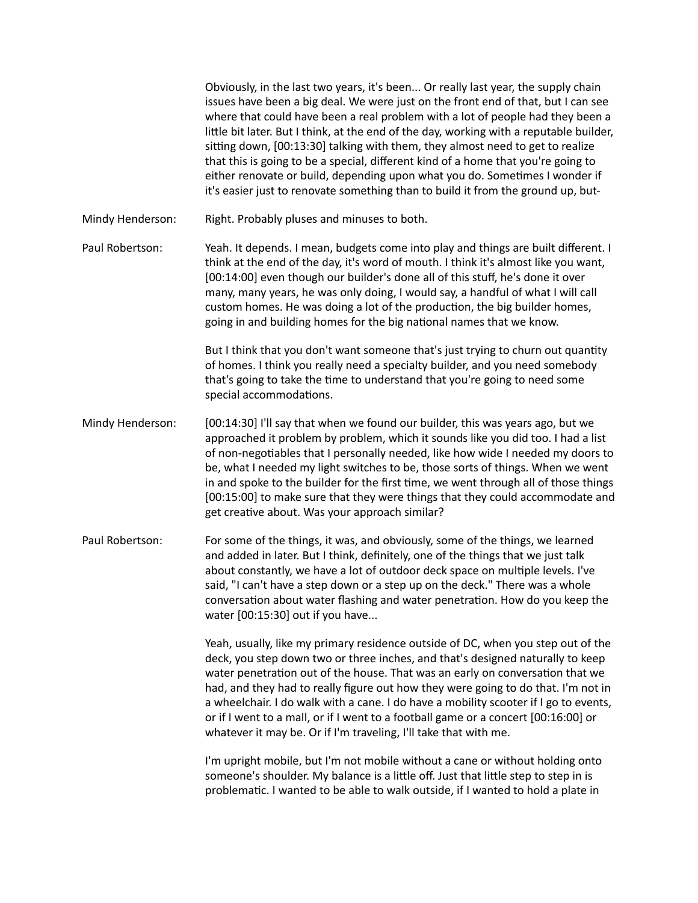Obviously, in the last two years, it's been... Or really last year, the supply chain issues have been a big deal. We were just on the front end of that, but I can see where that could have been a real problem with a lot of people had they been a little bit later. But I think, at the end of the day, working with a reputable builder, sitting down, [00:13:30] talking with them, they almost need to get to realize that this is going to be a special, different kind of a home that you're going to either renovate or build, depending upon what you do. Sometimes I wonder if it's easier just to renovate something than to build it from the ground up, but-Mindy Henderson: Right. Probably pluses and minuses to both. Paul Robertson: Yeah. It depends. I mean, budgets come into play and things are built different. I think at the end of the day, it's word of mouth. I think it's almost like you want, [00:14:00] even though our builder's done all of this stuff, he's done it over many, many years, he was only doing, I would say, a handful of what I will call custom homes. He was doing a lot of the production, the big builder homes, going in and building homes for the big national names that we know. But I think that you don't want someone that's just trying to churn out quantity of homes. I think you really need a specialty builder, and you need somebody that's going to take the time to understand that you're going to need some special accommodations. Mindy Henderson: [00:14:30] I'll say that when we found our builder, this was years ago, but we approached it problem by problem, which it sounds like you did too. I had a list

- of non-negotiables that I personally needed, like how wide I needed my doors to be, what I needed my light switches to be, those sorts of things. When we went in and spoke to the builder for the first time, we went through all of those things [00:15:00] to make sure that they were things that they could accommodate and get creative about. Was your approach similar?
- Paul Robertson: For some of the things, it was, and obviously, some of the things, we learned and added in later. But I think, definitely, one of the things that we just talk about constantly, we have a lot of outdoor deck space on multiple levels. I've said, "I can't have a step down or a step up on the deck." There was a whole conversation about water flashing and water penetration. How do you keep the water [00:15:30] out if you have...

Yeah, usually, like my primary residence outside of DC, when you step out of the deck, you step down two or three inches, and that's designed naturally to keep water penetration out of the house. That was an early on conversation that we had, and they had to really figure out how they were going to do that. I'm not in a wheelchair. I do walk with a cane. I do have a mobility scooter if I go to events, or if I went to a mall, or if I went to a football game or a concert [00:16:00] or whatever it may be. Or if I'm traveling, I'll take that with me.

I'm upright mobile, but I'm not mobile without a cane or without holding onto someone's shoulder. My balance is a little off. Just that little step to step in is problematic. I wanted to be able to walk outside, if I wanted to hold a plate in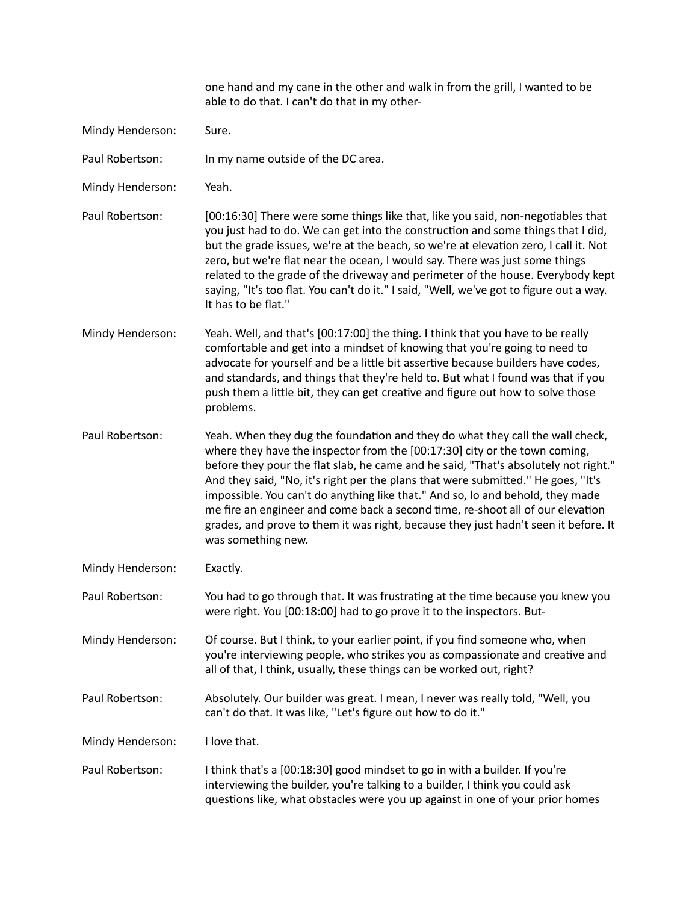|                  | one hand and my cane in the other and walk in from the grill, I wanted to be<br>able to do that. I can't do that in my other-                                                                                                                                                                                                                                                                                                                                                                                                                                                                                            |
|------------------|--------------------------------------------------------------------------------------------------------------------------------------------------------------------------------------------------------------------------------------------------------------------------------------------------------------------------------------------------------------------------------------------------------------------------------------------------------------------------------------------------------------------------------------------------------------------------------------------------------------------------|
| Mindy Henderson: | Sure.                                                                                                                                                                                                                                                                                                                                                                                                                                                                                                                                                                                                                    |
| Paul Robertson:  | In my name outside of the DC area.                                                                                                                                                                                                                                                                                                                                                                                                                                                                                                                                                                                       |
| Mindy Henderson: | Yeah.                                                                                                                                                                                                                                                                                                                                                                                                                                                                                                                                                                                                                    |
| Paul Robertson:  | [00:16:30] There were some things like that, like you said, non-negotiables that<br>you just had to do. We can get into the construction and some things that I did,<br>but the grade issues, we're at the beach, so we're at elevation zero, I call it. Not<br>zero, but we're flat near the ocean, I would say. There was just some things<br>related to the grade of the driveway and perimeter of the house. Everybody kept<br>saying, "It's too flat. You can't do it." I said, "Well, we've got to figure out a way.<br>It has to be flat."                                                                        |
| Mindy Henderson: | Yeah. Well, and that's [00:17:00] the thing. I think that you have to be really<br>comfortable and get into a mindset of knowing that you're going to need to<br>advocate for yourself and be a little bit assertive because builders have codes,<br>and standards, and things that they're held to. But what I found was that if you<br>push them a little bit, they can get creative and figure out how to solve those<br>problems.                                                                                                                                                                                    |
| Paul Robertson:  | Yeah. When they dug the foundation and they do what they call the wall check,<br>where they have the inspector from the [00:17:30] city or the town coming,<br>before they pour the flat slab, he came and he said, "That's absolutely not right."<br>And they said, "No, it's right per the plans that were submitted." He goes, "It's<br>impossible. You can't do anything like that." And so, lo and behold, they made<br>me fire an engineer and come back a second time, re-shoot all of our elevation<br>grades, and prove to them it was right, because they just hadn't seen it before. It<br>was something new. |
| Mindy Henderson: | Exactly.                                                                                                                                                                                                                                                                                                                                                                                                                                                                                                                                                                                                                 |
| Paul Robertson:  | You had to go through that. It was frustrating at the time because you knew you<br>were right. You [00:18:00] had to go prove it to the inspectors. But-                                                                                                                                                                                                                                                                                                                                                                                                                                                                 |
| Mindy Henderson: | Of course. But I think, to your earlier point, if you find someone who, when<br>you're interviewing people, who strikes you as compassionate and creative and<br>all of that, I think, usually, these things can be worked out, right?                                                                                                                                                                                                                                                                                                                                                                                   |
| Paul Robertson:  | Absolutely. Our builder was great. I mean, I never was really told, "Well, you<br>can't do that. It was like, "Let's figure out how to do it."                                                                                                                                                                                                                                                                                                                                                                                                                                                                           |
| Mindy Henderson: | I love that.                                                                                                                                                                                                                                                                                                                                                                                                                                                                                                                                                                                                             |
| Paul Robertson:  | I think that's a [00:18:30] good mindset to go in with a builder. If you're<br>interviewing the builder, you're talking to a builder, I think you could ask<br>questions like, what obstacles were you up against in one of your prior homes                                                                                                                                                                                                                                                                                                                                                                             |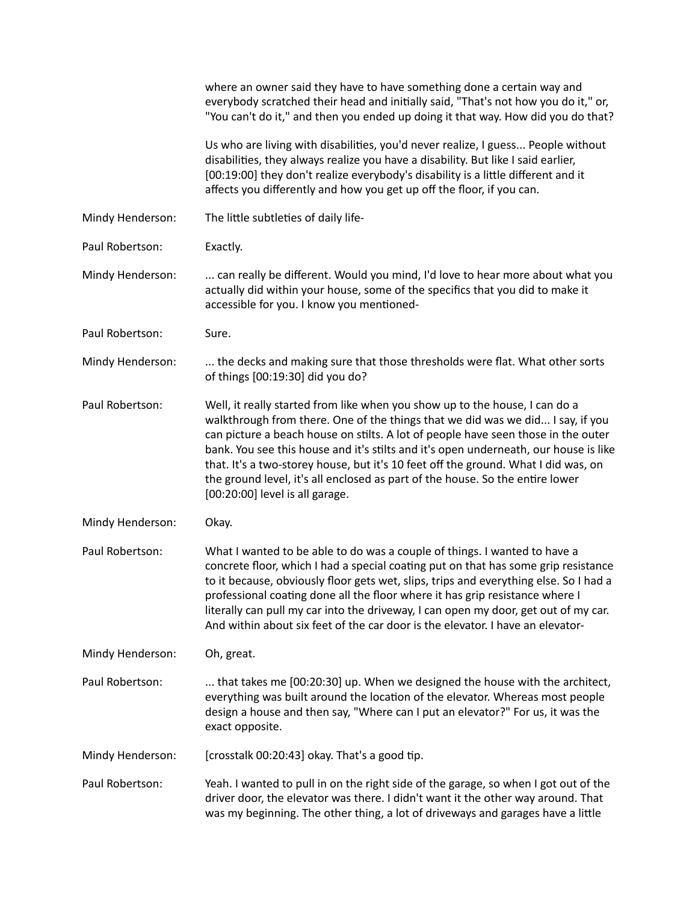|                  | where an owner said they have to have something done a certain way and<br>everybody scratched their head and initially said, "That's not how you do it," or,<br>"You can't do it," and then you ended up doing it that way. How did you do that?                                                                                                                                                                                                                                                                                                     |
|------------------|------------------------------------------------------------------------------------------------------------------------------------------------------------------------------------------------------------------------------------------------------------------------------------------------------------------------------------------------------------------------------------------------------------------------------------------------------------------------------------------------------------------------------------------------------|
|                  | Us who are living with disabilities, you'd never realize, I guess People without<br>disabilities, they always realize you have a disability. But like I said earlier,<br>[00:19:00] they don't realize everybody's disability is a little different and it<br>affects you differently and how you get up off the floor, if you can.                                                                                                                                                                                                                  |
| Mindy Henderson: | The little subtleties of daily life-                                                                                                                                                                                                                                                                                                                                                                                                                                                                                                                 |
| Paul Robertson:  | Exactly.                                                                                                                                                                                                                                                                                                                                                                                                                                                                                                                                             |
| Mindy Henderson: | can really be different. Would you mind, I'd love to hear more about what you<br>actually did within your house, some of the specifics that you did to make it<br>accessible for you. I know you mentioned-                                                                                                                                                                                                                                                                                                                                          |
| Paul Robertson:  | Sure.                                                                                                                                                                                                                                                                                                                                                                                                                                                                                                                                                |
| Mindy Henderson: | the decks and making sure that those thresholds were flat. What other sorts<br>of things [00:19:30] did you do?                                                                                                                                                                                                                                                                                                                                                                                                                                      |
| Paul Robertson:  | Well, it really started from like when you show up to the house, I can do a<br>walkthrough from there. One of the things that we did was we did I say, if you<br>can picture a beach house on stilts. A lot of people have seen those in the outer<br>bank. You see this house and it's stilts and it's open underneath, our house is like<br>that. It's a two-storey house, but it's 10 feet off the ground. What I did was, on<br>the ground level, it's all enclosed as part of the house. So the entire lower<br>[00:20:00] level is all garage. |
| Mindy Henderson: | Okay.                                                                                                                                                                                                                                                                                                                                                                                                                                                                                                                                                |
| Paul Robertson:  | What I wanted to be able to do was a couple of things. I wanted to have a<br>concrete floor, which I had a special coating put on that has some grip resistance<br>to it because, obviously floor gets wet, slips, trips and everything else. So I had a<br>professional coating done all the floor where it has grip resistance where I<br>literally can pull my car into the driveway, I can open my door, get out of my car.<br>And within about six feet of the car door is the elevator. I have an elevator-                                    |
| Mindy Henderson: | Oh, great.                                                                                                                                                                                                                                                                                                                                                                                                                                                                                                                                           |
| Paul Robertson:  | that takes me [00:20:30] up. When we designed the house with the architect,<br>everything was built around the location of the elevator. Whereas most people<br>design a house and then say, "Where can I put an elevator?" For us, it was the<br>exact opposite.                                                                                                                                                                                                                                                                                    |
| Mindy Henderson: | [crosstalk 00:20:43] okay. That's a good tip.                                                                                                                                                                                                                                                                                                                                                                                                                                                                                                        |
| Paul Robertson:  | Yeah. I wanted to pull in on the right side of the garage, so when I got out of the<br>driver door, the elevator was there. I didn't want it the other way around. That<br>was my beginning. The other thing, a lot of driveways and garages have a little                                                                                                                                                                                                                                                                                           |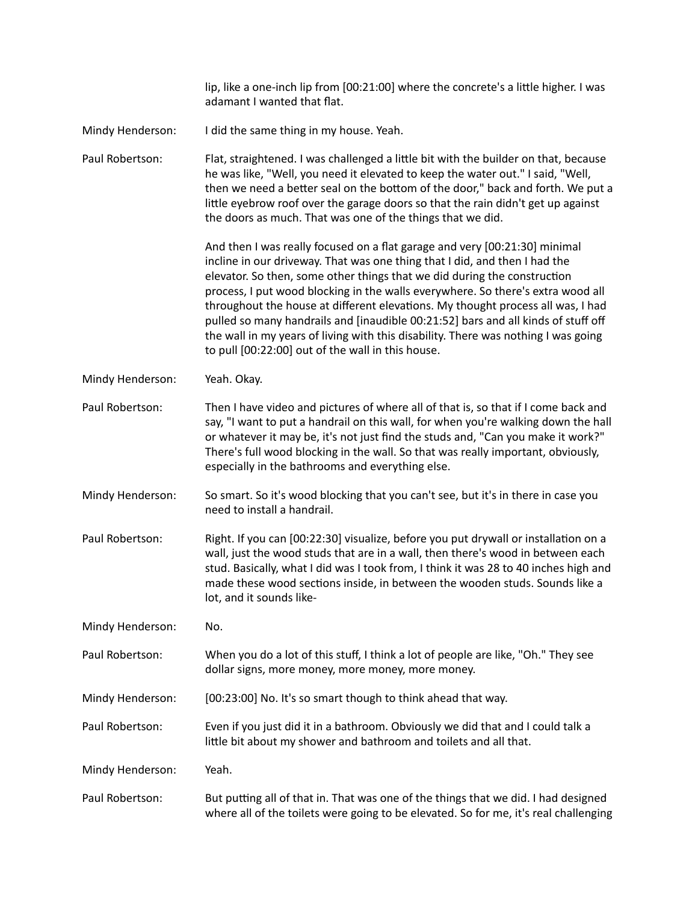|                  | lip, like a one-inch lip from [00:21:00] where the concrete's a little higher. I was<br>adamant I wanted that flat.                                                                                                                                                                                                                                                                                                                                                                                                                                                                                                                        |
|------------------|--------------------------------------------------------------------------------------------------------------------------------------------------------------------------------------------------------------------------------------------------------------------------------------------------------------------------------------------------------------------------------------------------------------------------------------------------------------------------------------------------------------------------------------------------------------------------------------------------------------------------------------------|
| Mindy Henderson: | I did the same thing in my house. Yeah.                                                                                                                                                                                                                                                                                                                                                                                                                                                                                                                                                                                                    |
| Paul Robertson:  | Flat, straightened. I was challenged a little bit with the builder on that, because<br>he was like, "Well, you need it elevated to keep the water out." I said, "Well,<br>then we need a better seal on the bottom of the door," back and forth. We put a<br>little eyebrow roof over the garage doors so that the rain didn't get up against<br>the doors as much. That was one of the things that we did.                                                                                                                                                                                                                                |
|                  | And then I was really focused on a flat garage and very [00:21:30] minimal<br>incline in our driveway. That was one thing that I did, and then I had the<br>elevator. So then, some other things that we did during the construction<br>process, I put wood blocking in the walls everywhere. So there's extra wood all<br>throughout the house at different elevations. My thought process all was, I had<br>pulled so many handrails and [inaudible 00:21:52] bars and all kinds of stuff off<br>the wall in my years of living with this disability. There was nothing I was going<br>to pull [00:22:00] out of the wall in this house. |
| Mindy Henderson: | Yeah. Okay.                                                                                                                                                                                                                                                                                                                                                                                                                                                                                                                                                                                                                                |
| Paul Robertson:  | Then I have video and pictures of where all of that is, so that if I come back and<br>say, "I want to put a handrail on this wall, for when you're walking down the hall<br>or whatever it may be, it's not just find the studs and, "Can you make it work?"<br>There's full wood blocking in the wall. So that was really important, obviously,<br>especially in the bathrooms and everything else.                                                                                                                                                                                                                                       |
| Mindy Henderson: | So smart. So it's wood blocking that you can't see, but it's in there in case you<br>need to install a handrail.                                                                                                                                                                                                                                                                                                                                                                                                                                                                                                                           |
| Paul Robertson:  | Right. If you can [00:22:30] visualize, before you put drywall or installation on a<br>wall, just the wood studs that are in a wall, then there's wood in between each<br>stud. Basically, what I did was I took from, I think it was 28 to 40 inches high and<br>made these wood sections inside, in between the wooden studs. Sounds like a<br>lot, and it sounds like-                                                                                                                                                                                                                                                                  |
| Mindy Henderson: | No.                                                                                                                                                                                                                                                                                                                                                                                                                                                                                                                                                                                                                                        |
| Paul Robertson:  | When you do a lot of this stuff, I think a lot of people are like, "Oh." They see<br>dollar signs, more money, more money, more money.                                                                                                                                                                                                                                                                                                                                                                                                                                                                                                     |
| Mindy Henderson: | [00:23:00] No. It's so smart though to think ahead that way.                                                                                                                                                                                                                                                                                                                                                                                                                                                                                                                                                                               |
| Paul Robertson:  | Even if you just did it in a bathroom. Obviously we did that and I could talk a<br>little bit about my shower and bathroom and toilets and all that.                                                                                                                                                                                                                                                                                                                                                                                                                                                                                       |
| Mindy Henderson: | Yeah.                                                                                                                                                                                                                                                                                                                                                                                                                                                                                                                                                                                                                                      |
| Paul Robertson:  | But putting all of that in. That was one of the things that we did. I had designed<br>where all of the toilets were going to be elevated. So for me, it's real challenging                                                                                                                                                                                                                                                                                                                                                                                                                                                                 |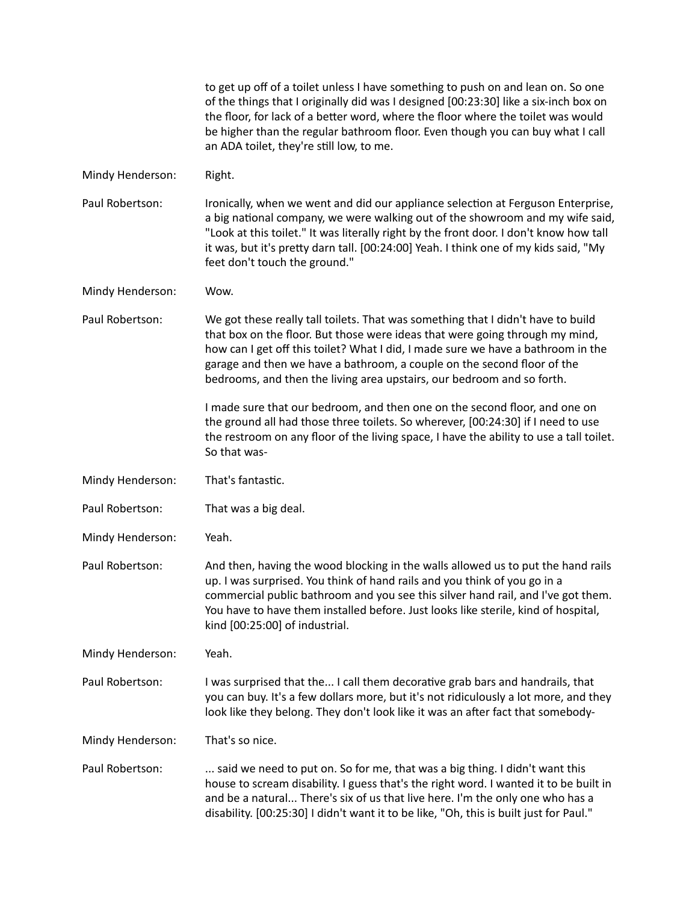|                  | to get up off of a toilet unless I have something to push on and lean on. So one<br>of the things that I originally did was I designed [00:23:30] like a six-inch box on<br>the floor, for lack of a better word, where the floor where the toilet was would<br>be higher than the regular bathroom floor. Even though you can buy what I call<br>an ADA toilet, they're still low, to me.                |
|------------------|-----------------------------------------------------------------------------------------------------------------------------------------------------------------------------------------------------------------------------------------------------------------------------------------------------------------------------------------------------------------------------------------------------------|
| Mindy Henderson: | Right.                                                                                                                                                                                                                                                                                                                                                                                                    |
| Paul Robertson:  | Ironically, when we went and did our appliance selection at Ferguson Enterprise,<br>a big national company, we were walking out of the showroom and my wife said,<br>"Look at this toilet." It was literally right by the front door. I don't know how tall<br>it was, but it's pretty darn tall. [00:24:00] Yeah. I think one of my kids said, "My<br>feet don't touch the ground."                      |
| Mindy Henderson: | Wow.                                                                                                                                                                                                                                                                                                                                                                                                      |
| Paul Robertson:  | We got these really tall toilets. That was something that I didn't have to build<br>that box on the floor. But those were ideas that were going through my mind,<br>how can I get off this toilet? What I did, I made sure we have a bathroom in the<br>garage and then we have a bathroom, a couple on the second floor of the<br>bedrooms, and then the living area upstairs, our bedroom and so forth. |
|                  | I made sure that our bedroom, and then one on the second floor, and one on<br>the ground all had those three toilets. So wherever, [00:24:30] if I need to use<br>the restroom on any floor of the living space, I have the ability to use a tall toilet.<br>So that was-                                                                                                                                 |
| Mindy Henderson: | That's fantastic.                                                                                                                                                                                                                                                                                                                                                                                         |
| Paul Robertson:  | That was a big deal.                                                                                                                                                                                                                                                                                                                                                                                      |
| Mindy Henderson: | Yeah.                                                                                                                                                                                                                                                                                                                                                                                                     |
| Paul Robertson:  | And then, having the wood blocking in the walls allowed us to put the hand rails<br>up. I was surprised. You think of hand rails and you think of you go in a<br>commercial public bathroom and you see this silver hand rail, and I've got them.<br>You have to have them installed before. Just looks like sterile, kind of hospital,<br>kind [00:25:00] of industrial.                                 |
| Mindy Henderson: | Yeah.                                                                                                                                                                                                                                                                                                                                                                                                     |
| Paul Robertson:  | I was surprised that the I call them decorative grab bars and handrails, that<br>you can buy. It's a few dollars more, but it's not ridiculously a lot more, and they<br>look like they belong. They don't look like it was an after fact that somebody-                                                                                                                                                  |
| Mindy Henderson: | That's so nice.                                                                                                                                                                                                                                                                                                                                                                                           |
| Paul Robertson:  | said we need to put on. So for me, that was a big thing. I didn't want this<br>house to scream disability. I guess that's the right word. I wanted it to be built in<br>and be a natural There's six of us that live here. I'm the only one who has a<br>disability. [00:25:30] I didn't want it to be like, "Oh, this is built just for Paul."                                                           |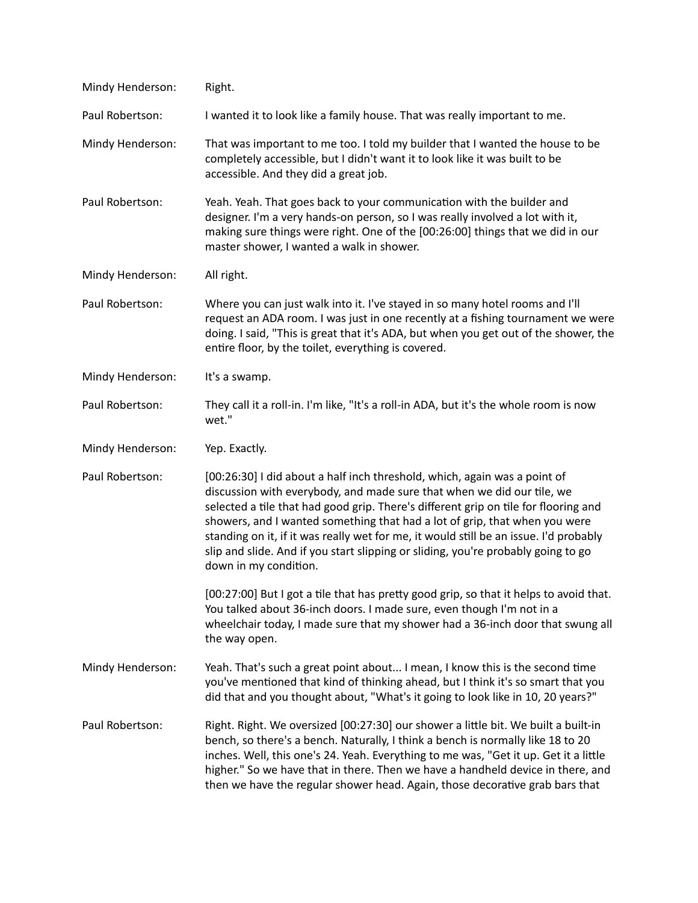| Mindy Henderson: | Right.                                                                                                                                                                                                                                                                                                                                                                                                                                                                                                                          |
|------------------|---------------------------------------------------------------------------------------------------------------------------------------------------------------------------------------------------------------------------------------------------------------------------------------------------------------------------------------------------------------------------------------------------------------------------------------------------------------------------------------------------------------------------------|
| Paul Robertson:  | I wanted it to look like a family house. That was really important to me.                                                                                                                                                                                                                                                                                                                                                                                                                                                       |
| Mindy Henderson: | That was important to me too. I told my builder that I wanted the house to be<br>completely accessible, but I didn't want it to look like it was built to be<br>accessible. And they did a great job.                                                                                                                                                                                                                                                                                                                           |
| Paul Robertson:  | Yeah. Yeah. That goes back to your communication with the builder and<br>designer. I'm a very hands-on person, so I was really involved a lot with it,<br>making sure things were right. One of the [00:26:00] things that we did in our<br>master shower, I wanted a walk in shower.                                                                                                                                                                                                                                           |
| Mindy Henderson: | All right.                                                                                                                                                                                                                                                                                                                                                                                                                                                                                                                      |
| Paul Robertson:  | Where you can just walk into it. I've stayed in so many hotel rooms and I'll<br>request an ADA room. I was just in one recently at a fishing tournament we were<br>doing. I said, "This is great that it's ADA, but when you get out of the shower, the<br>entire floor, by the toilet, everything is covered.                                                                                                                                                                                                                  |
| Mindy Henderson: | It's a swamp.                                                                                                                                                                                                                                                                                                                                                                                                                                                                                                                   |
| Paul Robertson:  | They call it a roll-in. I'm like, "It's a roll-in ADA, but it's the whole room is now<br>wet."                                                                                                                                                                                                                                                                                                                                                                                                                                  |
| Mindy Henderson: | Yep. Exactly.                                                                                                                                                                                                                                                                                                                                                                                                                                                                                                                   |
| Paul Robertson:  | [00:26:30] I did about a half inch threshold, which, again was a point of<br>discussion with everybody, and made sure that when we did our tile, we<br>selected a tile that had good grip. There's different grip on tile for flooring and<br>showers, and I wanted something that had a lot of grip, that when you were<br>standing on it, if it was really wet for me, it would still be an issue. I'd probably<br>slip and slide. And if you start slipping or sliding, you're probably going to go<br>down in my condition. |
|                  | [00:27:00] But I got a tile that has pretty good grip, so that it helps to avoid that.<br>You talked about 36-inch doors. I made sure, even though I'm not in a<br>wheelchair today, I made sure that my shower had a 36-inch door that swung all<br>the way open.                                                                                                                                                                                                                                                              |
| Mindy Henderson: | Yeah. That's such a great point about I mean, I know this is the second time<br>you've mentioned that kind of thinking ahead, but I think it's so smart that you<br>did that and you thought about, "What's it going to look like in 10, 20 years?"                                                                                                                                                                                                                                                                             |
| Paul Robertson:  | Right. Right. We oversized [00:27:30] our shower a little bit. We built a built-in<br>bench, so there's a bench. Naturally, I think a bench is normally like 18 to 20<br>inches. Well, this one's 24. Yeah. Everything to me was, "Get it up. Get it a little<br>higher." So we have that in there. Then we have a handheld device in there, and<br>then we have the regular shower head. Again, those decorative grab bars that                                                                                                |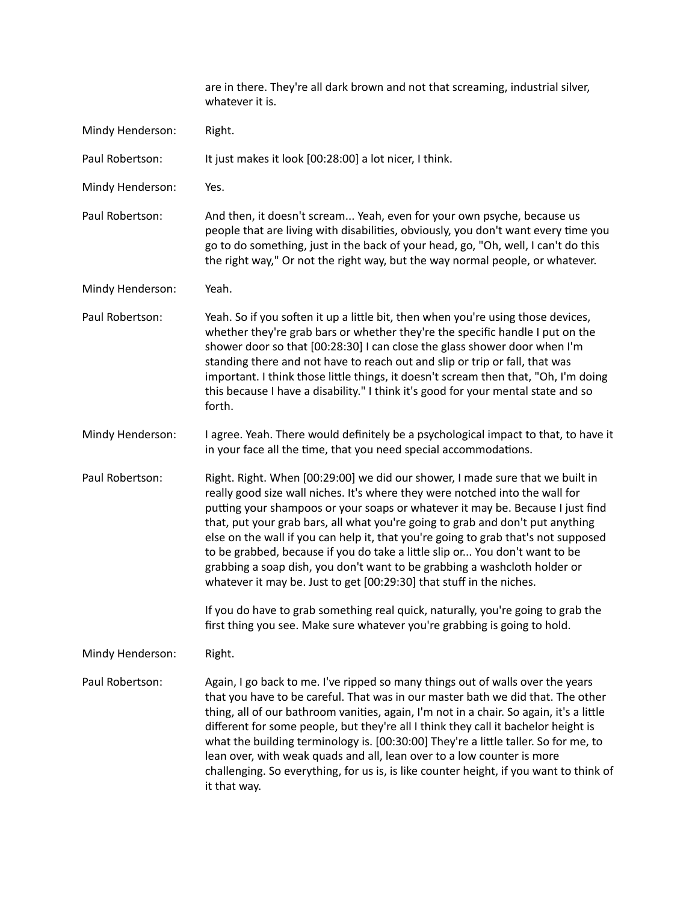|                  | are in there. They're all dark brown and not that screaming, industrial silver,<br>whatever it is.                                                                                                                                                                                                                                                                                                                                                                                                                                                                                                                                                          |
|------------------|-------------------------------------------------------------------------------------------------------------------------------------------------------------------------------------------------------------------------------------------------------------------------------------------------------------------------------------------------------------------------------------------------------------------------------------------------------------------------------------------------------------------------------------------------------------------------------------------------------------------------------------------------------------|
| Mindy Henderson: | Right.                                                                                                                                                                                                                                                                                                                                                                                                                                                                                                                                                                                                                                                      |
| Paul Robertson:  | It just makes it look [00:28:00] a lot nicer, I think.                                                                                                                                                                                                                                                                                                                                                                                                                                                                                                                                                                                                      |
| Mindy Henderson: | Yes.                                                                                                                                                                                                                                                                                                                                                                                                                                                                                                                                                                                                                                                        |
| Paul Robertson:  | And then, it doesn't scream Yeah, even for your own psyche, because us<br>people that are living with disabilities, obviously, you don't want every time you<br>go to do something, just in the back of your head, go, "Oh, well, I can't do this<br>the right way," Or not the right way, but the way normal people, or whatever.                                                                                                                                                                                                                                                                                                                          |
| Mindy Henderson: | Yeah.                                                                                                                                                                                                                                                                                                                                                                                                                                                                                                                                                                                                                                                       |
| Paul Robertson:  | Yeah. So if you soften it up a little bit, then when you're using those devices,<br>whether they're grab bars or whether they're the specific handle I put on the<br>shower door so that [00:28:30] I can close the glass shower door when I'm<br>standing there and not have to reach out and slip or trip or fall, that was<br>important. I think those little things, it doesn't scream then that, "Oh, I'm doing<br>this because I have a disability." I think it's good for your mental state and so<br>forth.                                                                                                                                         |
| Mindy Henderson: | I agree. Yeah. There would definitely be a psychological impact to that, to have it<br>in your face all the time, that you need special accommodations.                                                                                                                                                                                                                                                                                                                                                                                                                                                                                                     |
| Paul Robertson:  | Right. Right. When [00:29:00] we did our shower, I made sure that we built in<br>really good size wall niches. It's where they were notched into the wall for<br>putting your shampoos or your soaps or whatever it may be. Because I just find<br>that, put your grab bars, all what you're going to grab and don't put anything<br>else on the wall if you can help it, that you're going to grab that's not supposed<br>to be grabbed, because if you do take a little slip or You don't want to be<br>grabbing a soap dish, you don't want to be grabbing a washcloth holder or<br>whatever it may be. Just to get [00:29:30] that stuff in the niches. |
|                  | If you do have to grab something real quick, naturally, you're going to grab the<br>first thing you see. Make sure whatever you're grabbing is going to hold.                                                                                                                                                                                                                                                                                                                                                                                                                                                                                               |
| Mindy Henderson: | Right.                                                                                                                                                                                                                                                                                                                                                                                                                                                                                                                                                                                                                                                      |
| Paul Robertson:  | Again, I go back to me. I've ripped so many things out of walls over the years<br>that you have to be careful. That was in our master bath we did that. The other<br>thing, all of our bathroom vanities, again, I'm not in a chair. So again, it's a little<br>different for some people, but they're all I think they call it bachelor height is<br>what the building terminology is. [00:30:00] They're a little taller. So for me, to<br>lean over, with weak quads and all, lean over to a low counter is more<br>challenging. So everything, for us is, is like counter height, if you want to think of<br>it that way.                               |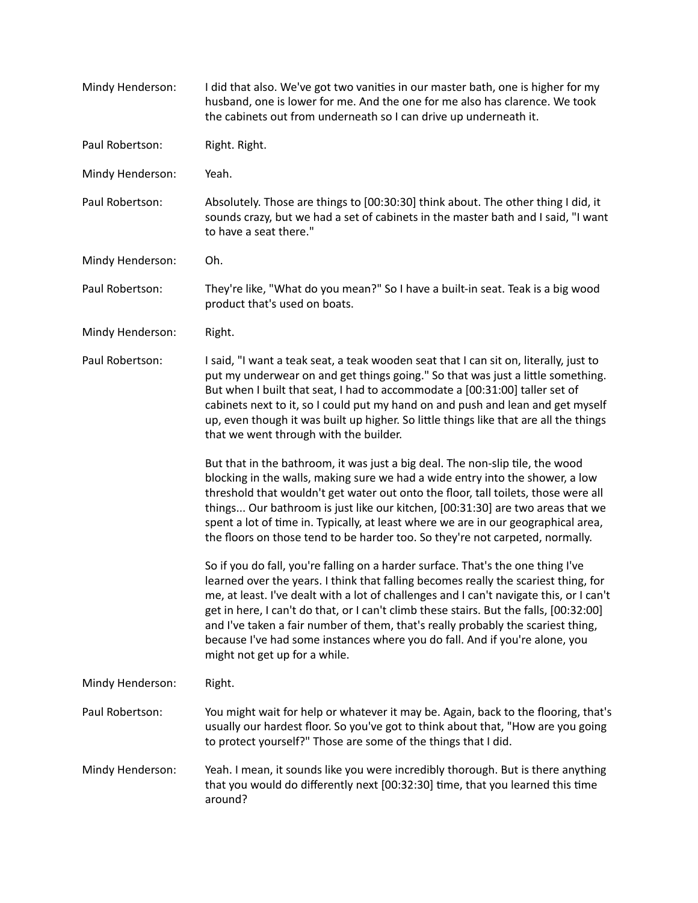| Mindy Henderson: | I did that also. We've got two vanities in our master bath, one is higher for my<br>husband, one is lower for me. And the one for me also has clarence. We took<br>the cabinets out from underneath so I can drive up underneath it.                                                                                                                                                                                                                                                                                                                             |
|------------------|------------------------------------------------------------------------------------------------------------------------------------------------------------------------------------------------------------------------------------------------------------------------------------------------------------------------------------------------------------------------------------------------------------------------------------------------------------------------------------------------------------------------------------------------------------------|
| Paul Robertson:  | Right. Right.                                                                                                                                                                                                                                                                                                                                                                                                                                                                                                                                                    |
| Mindy Henderson: | Yeah.                                                                                                                                                                                                                                                                                                                                                                                                                                                                                                                                                            |
| Paul Robertson:  | Absolutely. Those are things to [00:30:30] think about. The other thing I did, it<br>sounds crazy, but we had a set of cabinets in the master bath and I said, "I want<br>to have a seat there."                                                                                                                                                                                                                                                                                                                                                                 |
| Mindy Henderson: | Oh.                                                                                                                                                                                                                                                                                                                                                                                                                                                                                                                                                              |
| Paul Robertson:  | They're like, "What do you mean?" So I have a built-in seat. Teak is a big wood<br>product that's used on boats.                                                                                                                                                                                                                                                                                                                                                                                                                                                 |
| Mindy Henderson: | Right.                                                                                                                                                                                                                                                                                                                                                                                                                                                                                                                                                           |
| Paul Robertson:  | I said, "I want a teak seat, a teak wooden seat that I can sit on, literally, just to<br>put my underwear on and get things going." So that was just a little something.<br>But when I built that seat, I had to accommodate a [00:31:00] taller set of<br>cabinets next to it, so I could put my hand on and push and lean and get myself<br>up, even though it was built up higher. So little things like that are all the things<br>that we went through with the builder.                                                                                    |
|                  | But that in the bathroom, it was just a big deal. The non-slip tile, the wood<br>blocking in the walls, making sure we had a wide entry into the shower, a low<br>threshold that wouldn't get water out onto the floor, tall toilets, those were all<br>things Our bathroom is just like our kitchen, [00:31:30] are two areas that we<br>spent a lot of time in. Typically, at least where we are in our geographical area,<br>the floors on those tend to be harder too. So they're not carpeted, normally.                                                    |
|                  | So if you do fall, you're falling on a harder surface. That's the one thing I've<br>learned over the years. I think that falling becomes really the scariest thing, for<br>me, at least. I've dealt with a lot of challenges and I can't navigate this, or I can't<br>get in here, I can't do that, or I can't climb these stairs. But the falls, [00:32:00]<br>and I've taken a fair number of them, that's really probably the scariest thing,<br>because I've had some instances where you do fall. And if you're alone, you<br>might not get up for a while. |
| Mindy Henderson: | Right.                                                                                                                                                                                                                                                                                                                                                                                                                                                                                                                                                           |
| Paul Robertson:  | You might wait for help or whatever it may be. Again, back to the flooring, that's<br>usually our hardest floor. So you've got to think about that, "How are you going<br>to protect yourself?" Those are some of the things that I did.                                                                                                                                                                                                                                                                                                                         |
| Mindy Henderson: | Yeah. I mean, it sounds like you were incredibly thorough. But is there anything<br>that you would do differently next [00:32:30] time, that you learned this time<br>around?                                                                                                                                                                                                                                                                                                                                                                                    |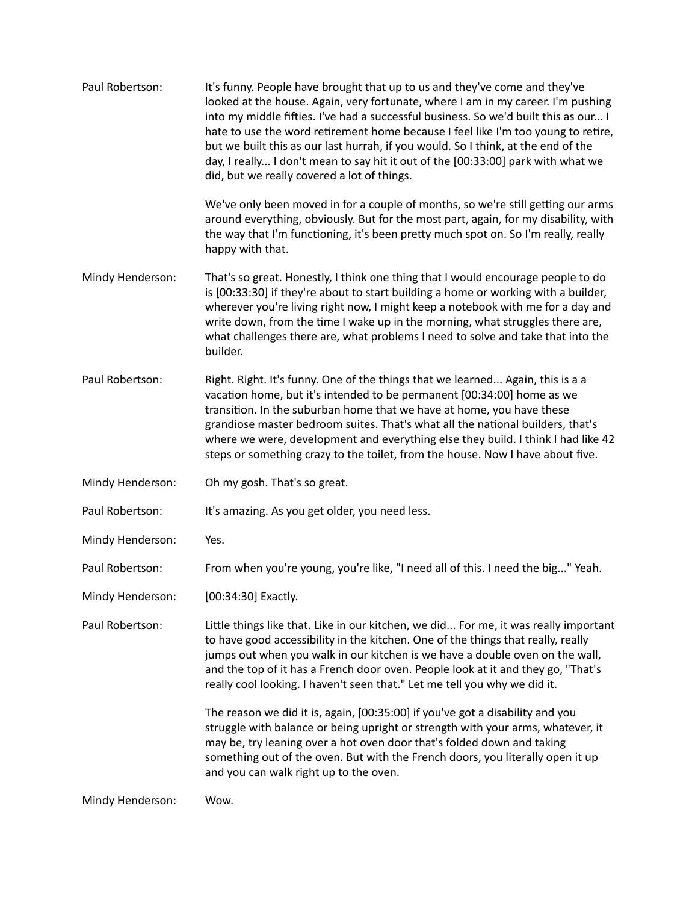| Paul Robertson:  | It's funny. People have brought that up to us and they've come and they've<br>looked at the house. Again, very fortunate, where I am in my career. I'm pushing<br>into my middle fifties. I've had a successful business. So we'd built this as our I<br>hate to use the word retirement home because I feel like I'm too young to retire,<br>but we built this as our last hurrah, if you would. So I think, at the end of the<br>day, I really I don't mean to say hit it out of the [00:33:00] park with what we<br>did, but we really covered a lot of things. |
|------------------|--------------------------------------------------------------------------------------------------------------------------------------------------------------------------------------------------------------------------------------------------------------------------------------------------------------------------------------------------------------------------------------------------------------------------------------------------------------------------------------------------------------------------------------------------------------------|
|                  | We've only been moved in for a couple of months, so we're still getting our arms<br>around everything, obviously. But for the most part, again, for my disability, with<br>the way that I'm functioning, it's been pretty much spot on. So I'm really, really<br>happy with that.                                                                                                                                                                                                                                                                                  |
| Mindy Henderson: | That's so great. Honestly, I think one thing that I would encourage people to do<br>is [00:33:30] if they're about to start building a home or working with a builder,<br>wherever you're living right now, I might keep a notebook with me for a day and<br>write down, from the time I wake up in the morning, what struggles there are,<br>what challenges there are, what problems I need to solve and take that into the<br>builder.                                                                                                                          |
| Paul Robertson:  | Right. Right. It's funny. One of the things that we learned Again, this is a a<br>vacation home, but it's intended to be permanent [00:34:00] home as we<br>transition. In the suburban home that we have at home, you have these<br>grandiose master bedroom suites. That's what all the national builders, that's<br>where we were, development and everything else they build. I think I had like 42<br>steps or something crazy to the toilet, from the house. Now I have about five.                                                                          |
| Mindy Henderson: | Oh my gosh. That's so great.                                                                                                                                                                                                                                                                                                                                                                                                                                                                                                                                       |
| Paul Robertson:  | It's amazing. As you get older, you need less.                                                                                                                                                                                                                                                                                                                                                                                                                                                                                                                     |
| Mindy Henderson: | Yes.                                                                                                                                                                                                                                                                                                                                                                                                                                                                                                                                                               |
| Paul Robertson:  | From when you're young, you're like, "I need all of this. I need the big" Yeah.                                                                                                                                                                                                                                                                                                                                                                                                                                                                                    |
| Mindy Henderson: | [00:34:30] Exactly.                                                                                                                                                                                                                                                                                                                                                                                                                                                                                                                                                |
| Paul Robertson:  | Little things like that. Like in our kitchen, we did For me, it was really important<br>to have good accessibility in the kitchen. One of the things that really, really<br>jumps out when you walk in our kitchen is we have a double oven on the wall,<br>and the top of it has a French door oven. People look at it and they go, "That's<br>really cool looking. I haven't seen that." Let me tell you why we did it.                                                                                                                                          |
|                  | The reason we did it is, again, [00:35:00] if you've got a disability and you<br>struggle with balance or being upright or strength with your arms, whatever, it<br>may be, try leaning over a hot oven door that's folded down and taking<br>something out of the oven. But with the French doors, you literally open it up<br>and you can walk right up to the oven.                                                                                                                                                                                             |
| Mindy Henderson: | Wow.                                                                                                                                                                                                                                                                                                                                                                                                                                                                                                                                                               |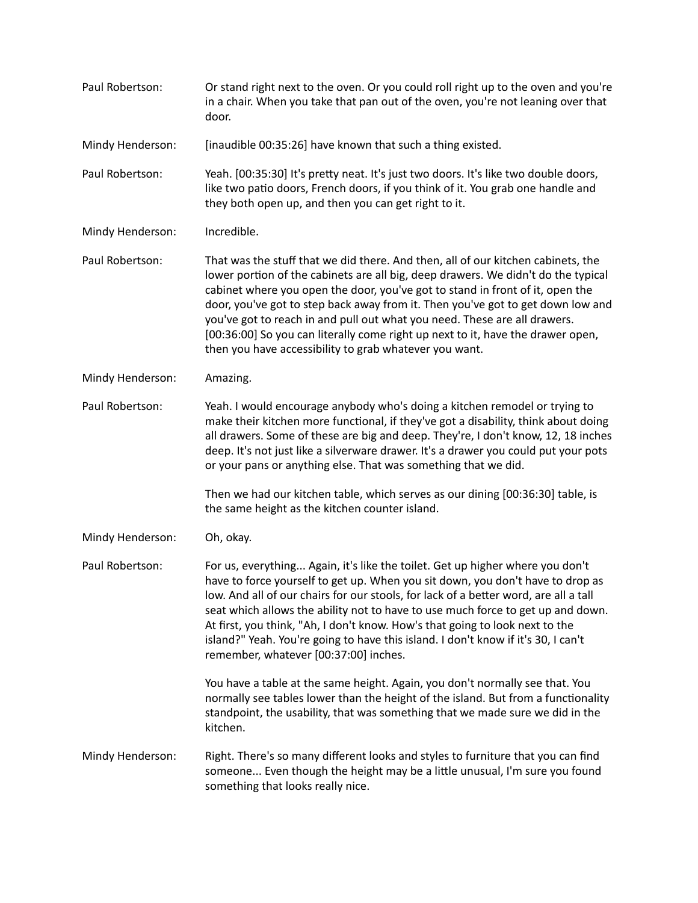| Paul Robertson:  | Or stand right next to the oven. Or you could roll right up to the oven and you're<br>in a chair. When you take that pan out of the oven, you're not leaning over that<br>door.                                                                                                                                                                                                                                                                                                                                                                                     |
|------------------|---------------------------------------------------------------------------------------------------------------------------------------------------------------------------------------------------------------------------------------------------------------------------------------------------------------------------------------------------------------------------------------------------------------------------------------------------------------------------------------------------------------------------------------------------------------------|
| Mindy Henderson: | [inaudible 00:35:26] have known that such a thing existed.                                                                                                                                                                                                                                                                                                                                                                                                                                                                                                          |
| Paul Robertson:  | Yeah. [00:35:30] It's pretty neat. It's just two doors. It's like two double doors,<br>like two patio doors, French doors, if you think of it. You grab one handle and<br>they both open up, and then you can get right to it.                                                                                                                                                                                                                                                                                                                                      |
| Mindy Henderson: | Incredible.                                                                                                                                                                                                                                                                                                                                                                                                                                                                                                                                                         |
| Paul Robertson:  | That was the stuff that we did there. And then, all of our kitchen cabinets, the<br>lower portion of the cabinets are all big, deep drawers. We didn't do the typical<br>cabinet where you open the door, you've got to stand in front of it, open the<br>door, you've got to step back away from it. Then you've got to get down low and<br>you've got to reach in and pull out what you need. These are all drawers.<br>[00:36:00] So you can literally come right up next to it, have the drawer open,<br>then you have accessibility to grab whatever you want. |
| Mindy Henderson: | Amazing.                                                                                                                                                                                                                                                                                                                                                                                                                                                                                                                                                            |
| Paul Robertson:  | Yeah. I would encourage anybody who's doing a kitchen remodel or trying to<br>make their kitchen more functional, if they've got a disability, think about doing<br>all drawers. Some of these are big and deep. They're, I don't know, 12, 18 inches<br>deep. It's not just like a silverware drawer. It's a drawer you could put your pots<br>or your pans or anything else. That was something that we did.                                                                                                                                                      |
|                  | Then we had our kitchen table, which serves as our dining [00:36:30] table, is<br>the same height as the kitchen counter island.                                                                                                                                                                                                                                                                                                                                                                                                                                    |
| Mindy Henderson: | Oh, okay.                                                                                                                                                                                                                                                                                                                                                                                                                                                                                                                                                           |
| Paul Robertson:  | For us, everything Again, it's like the toilet. Get up higher where you don't<br>have to force yourself to get up. When you sit down, you don't have to drop as<br>low. And all of our chairs for our stools, for lack of a better word, are all a tall<br>seat which allows the ability not to have to use much force to get up and down.<br>At first, you think, "Ah, I don't know. How's that going to look next to the<br>island?" Yeah. You're going to have this island. I don't know if it's 30, I can't<br>remember, whatever [00:37:00] inches.            |
|                  | You have a table at the same height. Again, you don't normally see that. You<br>normally see tables lower than the height of the island. But from a functionality<br>standpoint, the usability, that was something that we made sure we did in the<br>kitchen.                                                                                                                                                                                                                                                                                                      |
| Mindy Henderson: | Right. There's so many different looks and styles to furniture that you can find<br>someone Even though the height may be a little unusual, I'm sure you found<br>something that looks really nice.                                                                                                                                                                                                                                                                                                                                                                 |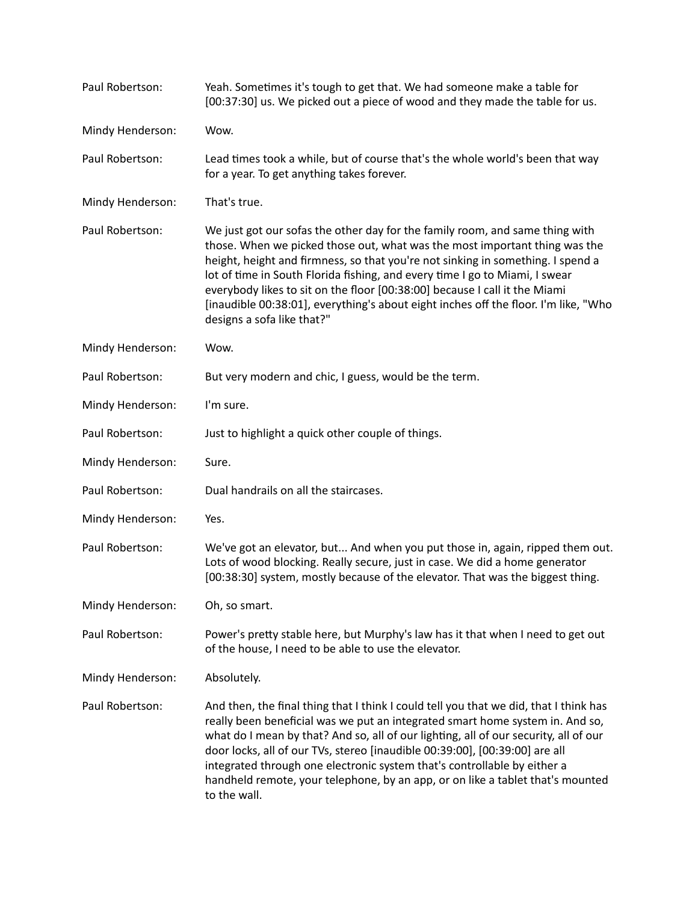| Paul Robertson:  | Yeah. Sometimes it's tough to get that. We had someone make a table for<br>[00:37:30] us. We picked out a piece of wood and they made the table for us.                                                                                                                                                                                                                                                                                                                                                                         |
|------------------|---------------------------------------------------------------------------------------------------------------------------------------------------------------------------------------------------------------------------------------------------------------------------------------------------------------------------------------------------------------------------------------------------------------------------------------------------------------------------------------------------------------------------------|
| Mindy Henderson: | Wow.                                                                                                                                                                                                                                                                                                                                                                                                                                                                                                                            |
| Paul Robertson:  | Lead times took a while, but of course that's the whole world's been that way<br>for a year. To get anything takes forever.                                                                                                                                                                                                                                                                                                                                                                                                     |
| Mindy Henderson: | That's true.                                                                                                                                                                                                                                                                                                                                                                                                                                                                                                                    |
| Paul Robertson:  | We just got our sofas the other day for the family room, and same thing with<br>those. When we picked those out, what was the most important thing was the<br>height, height and firmness, so that you're not sinking in something. I spend a<br>lot of time in South Florida fishing, and every time I go to Miami, I swear<br>everybody likes to sit on the floor [00:38:00] because I call it the Miami<br>[inaudible 00:38:01], everything's about eight inches off the floor. I'm like, "Who<br>designs a sofa like that?" |
| Mindy Henderson: | Wow.                                                                                                                                                                                                                                                                                                                                                                                                                                                                                                                            |
| Paul Robertson:  | But very modern and chic, I guess, would be the term.                                                                                                                                                                                                                                                                                                                                                                                                                                                                           |
| Mindy Henderson: | I'm sure.                                                                                                                                                                                                                                                                                                                                                                                                                                                                                                                       |
| Paul Robertson:  | Just to highlight a quick other couple of things.                                                                                                                                                                                                                                                                                                                                                                                                                                                                               |
| Mindy Henderson: | Sure.                                                                                                                                                                                                                                                                                                                                                                                                                                                                                                                           |
| Paul Robertson:  | Dual handrails on all the staircases.                                                                                                                                                                                                                                                                                                                                                                                                                                                                                           |
| Mindy Henderson: | Yes.                                                                                                                                                                                                                                                                                                                                                                                                                                                                                                                            |
| Paul Robertson:  | We've got an elevator, but And when you put those in, again, ripped them out.<br>Lots of wood blocking. Really secure, just in case. We did a home generator<br>[00:38:30] system, mostly because of the elevator. That was the biggest thing.                                                                                                                                                                                                                                                                                  |
| Mindy Henderson: | Oh, so smart.                                                                                                                                                                                                                                                                                                                                                                                                                                                                                                                   |
| Paul Robertson:  | Power's pretty stable here, but Murphy's law has it that when I need to get out<br>of the house, I need to be able to use the elevator.                                                                                                                                                                                                                                                                                                                                                                                         |
| Mindy Henderson: | Absolutely.                                                                                                                                                                                                                                                                                                                                                                                                                                                                                                                     |
| Paul Robertson:  | And then, the final thing that I think I could tell you that we did, that I think has<br>really been beneficial was we put an integrated smart home system in. And so,<br>what do I mean by that? And so, all of our lighting, all of our security, all of our<br>door locks, all of our TVs, stereo [inaudible 00:39:00], [00:39:00] are all<br>integrated through one electronic system that's controllable by either a<br>handheld remote, your telephone, by an app, or on like a tablet that's mounted<br>to the wall.     |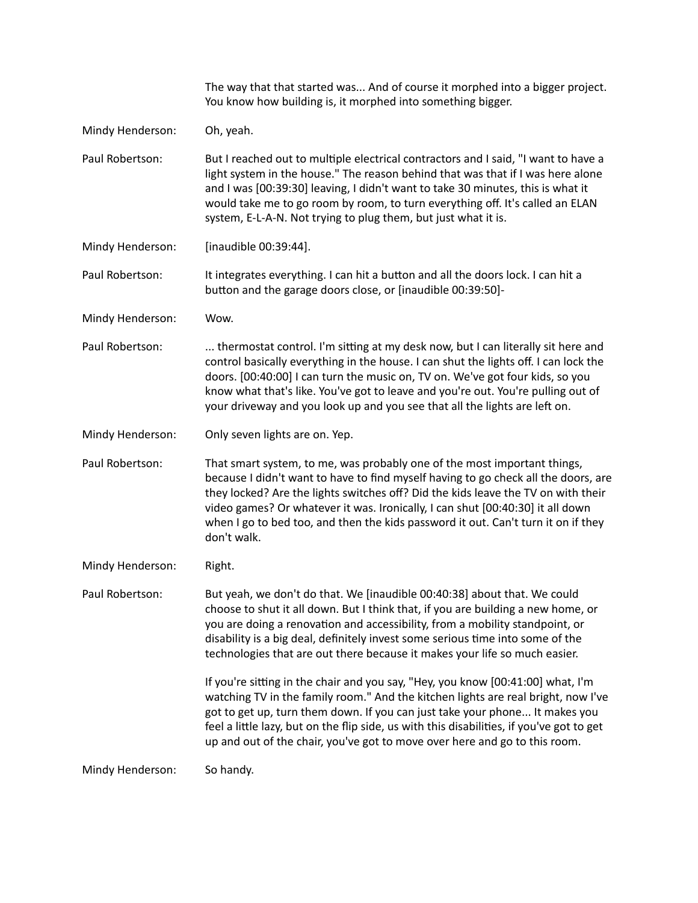|                  | The way that that started was And of course it morphed into a bigger project.<br>You know how building is, it morphed into something bigger.                                                                                                                                                                                                                                                                                              |
|------------------|-------------------------------------------------------------------------------------------------------------------------------------------------------------------------------------------------------------------------------------------------------------------------------------------------------------------------------------------------------------------------------------------------------------------------------------------|
| Mindy Henderson: | Oh, yeah.                                                                                                                                                                                                                                                                                                                                                                                                                                 |
| Paul Robertson:  | But I reached out to multiple electrical contractors and I said, "I want to have a<br>light system in the house." The reason behind that was that if I was here alone<br>and I was [00:39:30] leaving, I didn't want to take 30 minutes, this is what it<br>would take me to go room by room, to turn everything off. It's called an ELAN<br>system, E-L-A-N. Not trying to plug them, but just what it is.                               |
| Mindy Henderson: | [inaudible 00:39:44].                                                                                                                                                                                                                                                                                                                                                                                                                     |
| Paul Robertson:  | It integrates everything. I can hit a button and all the doors lock. I can hit a<br>button and the garage doors close, or [inaudible 00:39:50]-                                                                                                                                                                                                                                                                                           |
| Mindy Henderson: | Wow.                                                                                                                                                                                                                                                                                                                                                                                                                                      |
| Paul Robertson:  | thermostat control. I'm sitting at my desk now, but I can literally sit here and<br>control basically everything in the house. I can shut the lights off. I can lock the<br>doors. [00:40:00] I can turn the music on, TV on. We've got four kids, so you<br>know what that's like. You've got to leave and you're out. You're pulling out of<br>your driveway and you look up and you see that all the lights are left on.               |
| Mindy Henderson: | Only seven lights are on. Yep.                                                                                                                                                                                                                                                                                                                                                                                                            |
| Paul Robertson:  | That smart system, to me, was probably one of the most important things,<br>because I didn't want to have to find myself having to go check all the doors, are<br>they locked? Are the lights switches off? Did the kids leave the TV on with their<br>video games? Or whatever it was. Ironically, I can shut [00:40:30] it all down<br>when I go to bed too, and then the kids password it out. Can't turn it on if they<br>don't walk. |
| Mindy Henderson: | Right.                                                                                                                                                                                                                                                                                                                                                                                                                                    |
| Paul Robertson:  | But yeah, we don't do that. We [inaudible 00:40:38] about that. We could<br>choose to shut it all down. But I think that, if you are building a new home, or<br>you are doing a renovation and accessibility, from a mobility standpoint, or<br>disability is a big deal, definitely invest some serious time into some of the<br>technologies that are out there because it makes your life so much easier.                              |
|                  | If you're sitting in the chair and you say, "Hey, you know [00:41:00] what, I'm<br>watching TV in the family room." And the kitchen lights are real bright, now I've<br>got to get up, turn them down. If you can just take your phone It makes you<br>feel a little lazy, but on the flip side, us with this disabilities, if you've got to get<br>up and out of the chair, you've got to move over here and go to this room.            |
| Mindy Henderson: | So handy.                                                                                                                                                                                                                                                                                                                                                                                                                                 |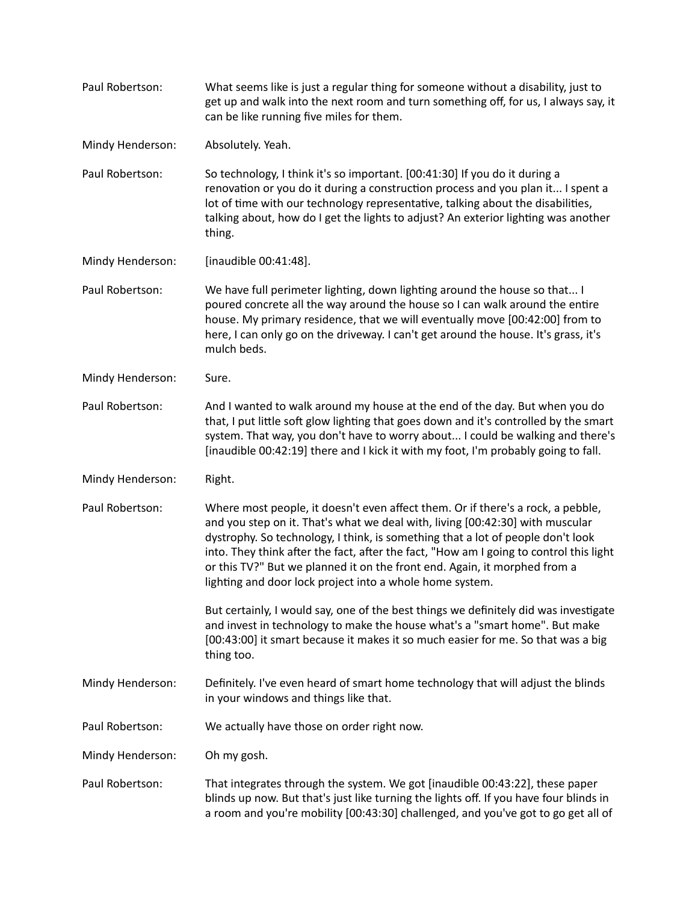| Paul Robertson:  | What seems like is just a regular thing for someone without a disability, just to<br>get up and walk into the next room and turn something off, for us, I always say, it<br>can be like running five miles for them.                                                                                                                                                                                                                                                                   |
|------------------|----------------------------------------------------------------------------------------------------------------------------------------------------------------------------------------------------------------------------------------------------------------------------------------------------------------------------------------------------------------------------------------------------------------------------------------------------------------------------------------|
| Mindy Henderson: | Absolutely. Yeah.                                                                                                                                                                                                                                                                                                                                                                                                                                                                      |
| Paul Robertson:  | So technology, I think it's so important. [00:41:30] If you do it during a<br>renovation or you do it during a construction process and you plan it I spent a<br>lot of time with our technology representative, talking about the disabilities,<br>talking about, how do I get the lights to adjust? An exterior lighting was another<br>thing.                                                                                                                                       |
| Mindy Henderson: | [inaudible 00:41:48].                                                                                                                                                                                                                                                                                                                                                                                                                                                                  |
| Paul Robertson:  | We have full perimeter lighting, down lighting around the house so that I<br>poured concrete all the way around the house so I can walk around the entire<br>house. My primary residence, that we will eventually move [00:42:00] from to<br>here, I can only go on the driveway. I can't get around the house. It's grass, it's<br>mulch beds.                                                                                                                                        |
| Mindy Henderson: | Sure.                                                                                                                                                                                                                                                                                                                                                                                                                                                                                  |
| Paul Robertson:  | And I wanted to walk around my house at the end of the day. But when you do<br>that, I put little soft glow lighting that goes down and it's controlled by the smart<br>system. That way, you don't have to worry about I could be walking and there's<br>[inaudible 00:42:19] there and I kick it with my foot, I'm probably going to fall.                                                                                                                                           |
| Mindy Henderson: | Right.                                                                                                                                                                                                                                                                                                                                                                                                                                                                                 |
| Paul Robertson:  | Where most people, it doesn't even affect them. Or if there's a rock, a pebble,<br>and you step on it. That's what we deal with, living [00:42:30] with muscular<br>dystrophy. So technology, I think, is something that a lot of people don't look<br>into. They think after the fact, after the fact, "How am I going to control this light<br>or this TV?" But we planned it on the front end. Again, it morphed from a<br>lighting and door lock project into a whole home system. |
|                  | But certainly, I would say, one of the best things we definitely did was investigate<br>and invest in technology to make the house what's a "smart home". But make<br>[00:43:00] it smart because it makes it so much easier for me. So that was a big<br>thing too.                                                                                                                                                                                                                   |
| Mindy Henderson: | Definitely. I've even heard of smart home technology that will adjust the blinds<br>in your windows and things like that.                                                                                                                                                                                                                                                                                                                                                              |
| Paul Robertson:  | We actually have those on order right now.                                                                                                                                                                                                                                                                                                                                                                                                                                             |
| Mindy Henderson: | Oh my gosh.                                                                                                                                                                                                                                                                                                                                                                                                                                                                            |
| Paul Robertson:  | That integrates through the system. We got [inaudible 00:43:22], these paper<br>blinds up now. But that's just like turning the lights off. If you have four blinds in<br>a room and you're mobility [00:43:30] challenged, and you've got to go get all of                                                                                                                                                                                                                            |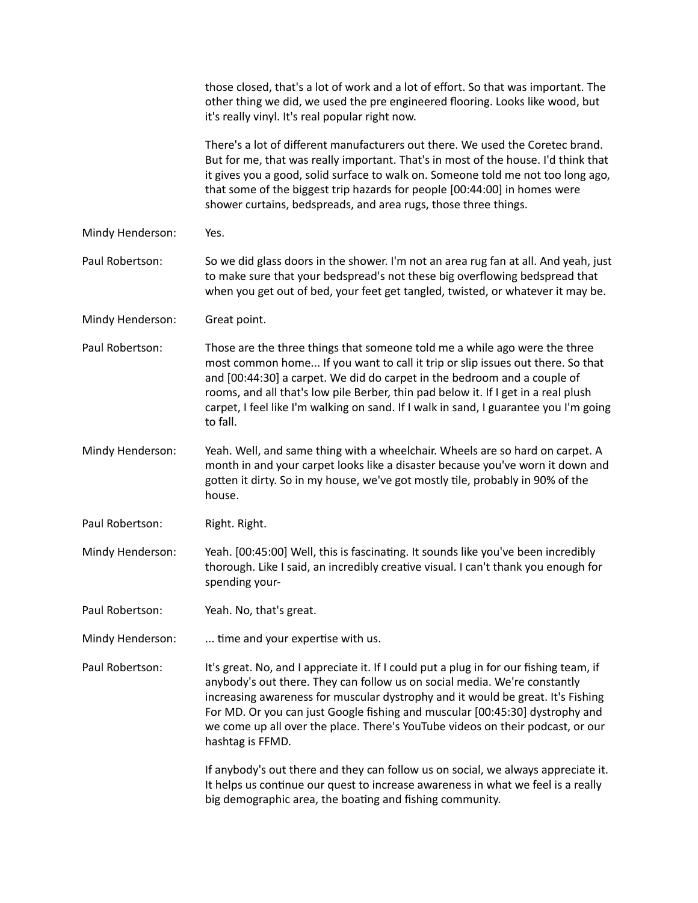|                  | those closed, that's a lot of work and a lot of effort. So that was important. The<br>other thing we did, we used the pre engineered flooring. Looks like wood, but<br>it's really vinyl. It's real popular right now.                                                                                                                                                                                                                       |
|------------------|----------------------------------------------------------------------------------------------------------------------------------------------------------------------------------------------------------------------------------------------------------------------------------------------------------------------------------------------------------------------------------------------------------------------------------------------|
|                  | There's a lot of different manufacturers out there. We used the Coretec brand.<br>But for me, that was really important. That's in most of the house. I'd think that<br>it gives you a good, solid surface to walk on. Someone told me not too long ago,<br>that some of the biggest trip hazards for people [00:44:00] in homes were<br>shower curtains, bedspreads, and area rugs, those three things.                                     |
| Mindy Henderson: | Yes.                                                                                                                                                                                                                                                                                                                                                                                                                                         |
| Paul Robertson:  | So we did glass doors in the shower. I'm not an area rug fan at all. And yeah, just<br>to make sure that your bedspread's not these big overflowing bedspread that<br>when you get out of bed, your feet get tangled, twisted, or whatever it may be.                                                                                                                                                                                        |
| Mindy Henderson: | Great point.                                                                                                                                                                                                                                                                                                                                                                                                                                 |
| Paul Robertson:  | Those are the three things that someone told me a while ago were the three<br>most common home If you want to call it trip or slip issues out there. So that<br>and [00:44:30] a carpet. We did do carpet in the bedroom and a couple of<br>rooms, and all that's low pile Berber, thin pad below it. If I get in a real plush<br>carpet, I feel like I'm walking on sand. If I walk in sand, I guarantee you I'm going<br>to fall.          |
| Mindy Henderson: | Yeah. Well, and same thing with a wheelchair. Wheels are so hard on carpet. A<br>month in and your carpet looks like a disaster because you've worn it down and<br>gotten it dirty. So in my house, we've got mostly tile, probably in 90% of the<br>house.                                                                                                                                                                                  |
| Paul Robertson:  | Right. Right.                                                                                                                                                                                                                                                                                                                                                                                                                                |
| Mindy Henderson: | Yeah. [00:45:00] Well, this is fascinating. It sounds like you've been incredibly<br>thorough. Like I said, an incredibly creative visual. I can't thank you enough for<br>spending your-                                                                                                                                                                                                                                                    |
| Paul Robertson:  | Yeah. No, that's great.                                                                                                                                                                                                                                                                                                                                                                                                                      |
| Mindy Henderson: | time and your expertise with us.                                                                                                                                                                                                                                                                                                                                                                                                             |
| Paul Robertson:  | It's great. No, and I appreciate it. If I could put a plug in for our fishing team, if<br>anybody's out there. They can follow us on social media. We're constantly<br>increasing awareness for muscular dystrophy and it would be great. It's Fishing<br>For MD. Or you can just Google fishing and muscular [00:45:30] dystrophy and<br>we come up all over the place. There's YouTube videos on their podcast, or our<br>hashtag is FFMD. |
|                  | If anybody's out there and they can follow us on social, we always appreciate it.<br>It helps us continue our quest to increase awareness in what we feel is a really<br>big demographic area, the boating and fishing community.                                                                                                                                                                                                            |